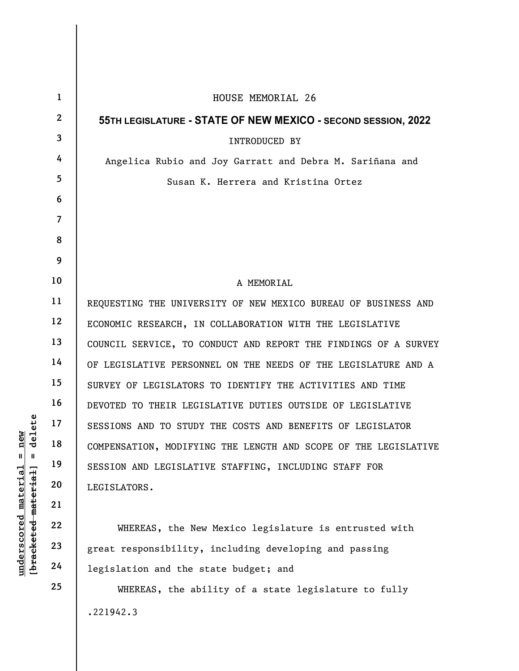|                                                                                                              | $\mathbf{1}$   | HOUSE MEMORIAL 26                                               |
|--------------------------------------------------------------------------------------------------------------|----------------|-----------------------------------------------------------------|
|                                                                                                              | $\mathbf{2}$   | 55TH LEGISLATURE - STATE OF NEW MEXICO - SECOND SESSION, 2022   |
|                                                                                                              | 3              | INTRODUCED BY                                                   |
|                                                                                                              | 4              | Angelica Rubio and Joy Garratt and Debra M. Sariñana and        |
|                                                                                                              | 5              | Susan K. Herrera and Kristina Ortez                             |
|                                                                                                              | 6              |                                                                 |
|                                                                                                              | $\overline{7}$ |                                                                 |
|                                                                                                              | 8              |                                                                 |
|                                                                                                              | 9              |                                                                 |
|                                                                                                              | 10             | A MEMORIAL                                                      |
|                                                                                                              | 11             | REQUESTING THE UNIVERSITY OF NEW MEXICO BUREAU OF BUSINESS AND  |
|                                                                                                              | 12             | ECONOMIC RESEARCH, IN COLLABORATION WITH THE LEGISLATIVE        |
|                                                                                                              | 13             | COUNCIL SERVICE, TO CONDUCT AND REPORT THE FINDINGS OF A SURVEY |
|                                                                                                              | 14             | OF LEGISLATIVE PERSONNEL ON THE NEEDS OF THE LEGISLATURE AND A  |
|                                                                                                              | 15             | SURVEY OF LEGISLATORS TO IDENTIFY THE ACTIVITIES AND TIME       |
|                                                                                                              | 16             | DEVOTED TO THEIR LEGISLATIVE DUTIES OUTSIDE OF LEGISLATIVE      |
| delete<br>new<br>$\mathbf{u}$<br>$\mathbf{u}$<br>[ <del>bracketed material</del> ]<br>$underscored$ material | 17             | SESSIONS AND TO STUDY THE COSTS AND BENEFITS OF LEGISLATOR      |
|                                                                                                              | 18             | COMPENSATION, MODIFYING THE LENGTH AND SCOPE OF THE LEGISLATIVE |
|                                                                                                              | 19             | SESSION AND LEGISLATIVE STAFFING, INCLUDING STAFF FOR           |
|                                                                                                              | 20             | LEGISLATORS.                                                    |
|                                                                                                              | 21             |                                                                 |
|                                                                                                              | 22             | WHEREAS, the New Mexico legislature is entrusted with           |
|                                                                                                              | 23             | great responsibility, including developing and passing          |
|                                                                                                              | 24             | legislation and the state budget; and                           |
|                                                                                                              | 25             | WHEREAS, the ability of a state legislature to fully            |
|                                                                                                              |                | .221942.3                                                       |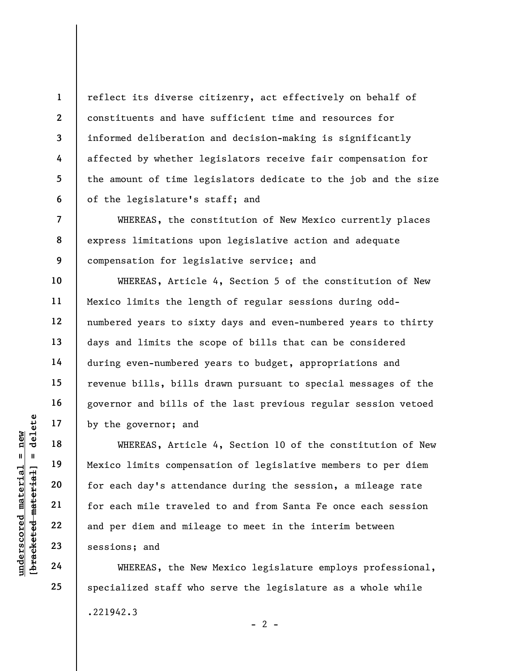reflect its diverse citizenry, act effectively on behalf of constituents and have sufficient time and resources for informed deliberation and decision-making is significantly affected by whether legislators receive fair compensation for the amount of time legislators dedicate to the job and the size of the legislature's staff; and

WHEREAS, the constitution of New Mexico currently places express limitations upon legislative action and adequate compensation for legislative service; and

WHEREAS, Article 4, Section 5 of the constitution of New Mexico limits the length of regular sessions during oddnumbered years to sixty days and even-numbered years to thirty days and limits the scope of bills that can be considered during even-numbered years to budget, appropriations and revenue bills, bills drawn pursuant to special messages of the governor and bills of the last previous regular session vetoed by the governor; and

underscored material = new [bracketed material] = delete WHEREAS, Article 4, Section 10 of the constitution of New Mexico limits compensation of legislative members to per diem for each day's attendance during the session, a mileage rate for each mile traveled to and from Santa Fe once each session and per diem and mileage to meet in the interim between sessions; and

WHEREAS, the New Mexico legislature employs professional, specialized staff who serve the legislature as a whole while .221942.3  $- 2 -$ 

1

2

3

4

5

6

7

8

9

10

11

12

13

14

15

16

17

18

19

20

21

22

23

24

25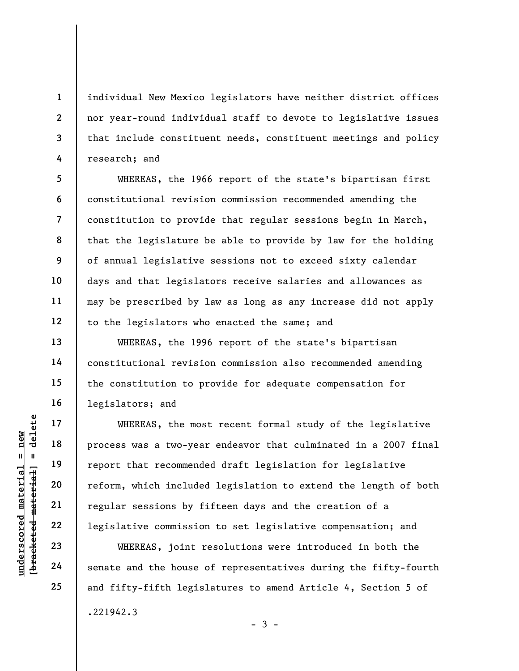individual New Mexico legislators have neither district offices nor year-round individual staff to devote to legislative issues that include constituent needs, constituent meetings and policy research; and

WHEREAS, the 1966 report of the state's bipartisan first constitutional revision commission recommended amending the constitution to provide that regular sessions begin in March, that the legislature be able to provide by law for the holding of annual legislative sessions not to exceed sixty calendar days and that legislators receive salaries and allowances as may be prescribed by law as long as any increase did not apply to the legislators who enacted the same; and

WHEREAS, the 1996 report of the state's bipartisan constitutional revision commission also recommended amending the constitution to provide for adequate compensation for legislators; and

underscored material = new [bracketed material] = delete WHEREAS, the most recent formal study of the legislative process was a two-year endeavor that culminated in a 2007 final report that recommended draft legislation for legislative reform, which included legislation to extend the length of both regular sessions by fifteen days and the creation of a legislative commission to set legislative compensation; and

WHEREAS, joint resolutions were introduced in both the senate and the house of representatives during the fifty-fourth and fifty-fifth legislatures to amend Article 4, Section 5 of .221942.3  $-3 -$ 

1

2

3

4

5

6

7

8

9

10

11

12

13

14

15

16

17

18

19

20

21

22

23

24

25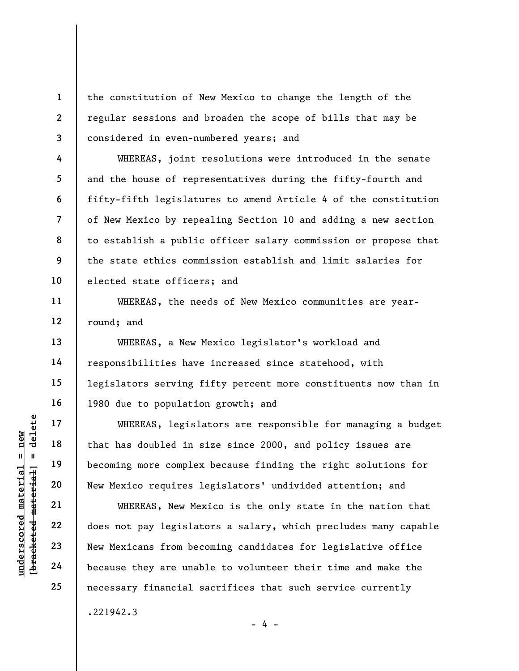the constitution of New Mexico to change the length of the regular sessions and broaden the scope of bills that may be considered in even-numbered years; and

WHEREAS, joint resolutions were introduced in the senate and the house of representatives during the fifty-fourth and fifty-fifth legislatures to amend Article 4 of the constitution of New Mexico by repealing Section 10 and adding a new section to establish a public officer salary commission or propose that the state ethics commission establish and limit salaries for elected state officers; and

WHEREAS, the needs of New Mexico communities are yearround; and

WHEREAS, a New Mexico legislator's workload and responsibilities have increased since statehood, with legislators serving fifty percent more constituents now than in 1980 due to population growth; and

WHEREAS, legislators are responsible for managing a budget that has doubled in size since 2000, and policy issues are becoming more complex because finding the right solutions for New Mexico requires legislators' undivided attention; and

underscored material = new [bracketed material] = delete WHEREAS, New Mexico is the only state in the nation that does not pay legislators a salary, which precludes many capable New Mexicans from becoming candidates for legislative office because they are unable to volunteer their time and make the necessary financial sacrifices that such service currently .221942.3

1

2

3

4

5

6

7

8

9

10

11

12

13

14

15

16

17

18

19

20

21

22

23

24

25

- 4 -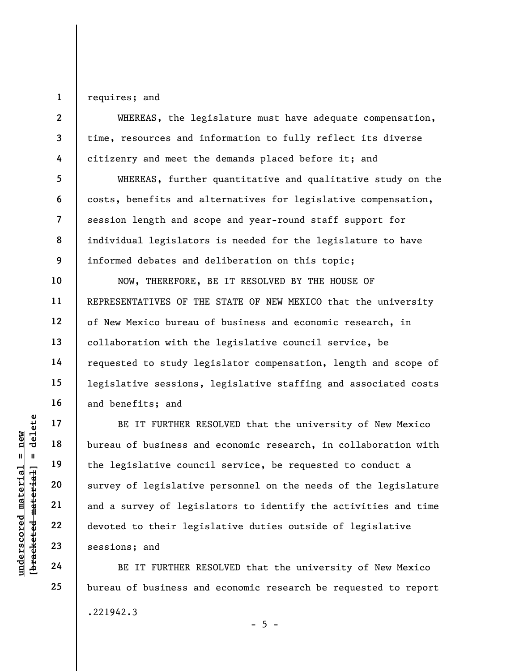1 requires; and

5

6

7

8

9

10

11

12

13

14

15

16

17

18

19

20

21

22

23

24

25

2 3 4 WHEREAS, the legislature must have adequate compensation, time, resources and information to fully reflect its diverse citizenry and meet the demands placed before it; and

WHEREAS, further quantitative and qualitative study on the costs, benefits and alternatives for legislative compensation, session length and scope and year-round staff support for individual legislators is needed for the legislature to have informed debates and deliberation on this topic;

NOW, THEREFORE, BE IT RESOLVED BY THE HOUSE OF REPRESENTATIVES OF THE STATE OF NEW MEXICO that the university of New Mexico bureau of business and economic research, in collaboration with the legislative council service, be requested to study legislator compensation, length and scope of legislative sessions, legislative staffing and associated costs and benefits; and

UNDER PRINCE IN THE MATHER RI<br>
UNDER THE READ TO BE IT FURTHER RI<br>
UNDER 20<br>
UNDER 22<br>
UNDER 22<br>
UNDER 22<br>
UNDER 22<br>
UNDER 22<br>
UNDER 23<br>
UNDER 23<br>
UNDER 23<br>
UNDER 24<br>
UNDER 24<br>
BE IT FURTHER RI<br>
BE IT FURTHER RI<br>
BE IT FUR BE IT FURTHER RESOLVED that the university of New Mexico bureau of business and economic research, in collaboration with the legislative council service, be requested to conduct a survey of legislative personnel on the needs of the legislature and a survey of legislators to identify the activities and time devoted to their legislative duties outside of legislative sessions; and

BE IT FURTHER RESOLVED that the university of New Mexico bureau of business and economic research be requested to report .221942.3  $- 5 -$